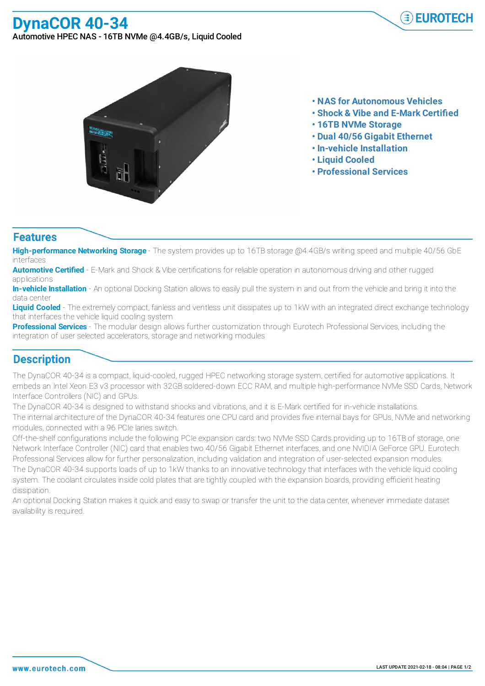**DynaCOR 40-34**



Automotive HPEC NAS - 16TB NVMe @4.4GB/s, Liquid Cooled



**• NAS for Autonomous Vehicles**

- **• Shock & Vibe and E-Mark Certified**
- **• 16TB NVMe Storage**
- **• Dual 40/56 Gigabit Ethernet**
- **• In-vehicle Installation**
- **• Liquid Cooled**
- **• Professional Services**

## **Features**

**High-performance Networking Storage** - The system provides up to 16TB storage @4.4GB/s writing speed and multiple 40/56 GbE interfaces

**Automotive Certified** - E-Mark and Shock & Vibe certifications for reliable operation in autonomous driving and other rugged applications

**In-vehicle Installation** - An optional Docking Station allows to easily pull the system in and out from the vehicle and bring it into the data center

**Liquid Cooled** - The extremely compact, fanless and ventless unit dissipates up to 1kW with an integrated direct exchange technology that interfaces the vehicle liquid cooling system

**Professional Services** - The modular design allows further customization through Eurotech Professional Services, including the integration of user selected accelerators, storage and networking modules

## **Description**

The DynaCOR 40-34 is a compact, liquid-cooled, rugged HPEC networking storage system, certified for automotive applications. It embeds an Intel Xeon E3 v3 processor with 32GB soldered-down ECC RAM, and multiple high-performance NVMe SSD Cards, Network Interface Controllers (NIC) and GPUs.

The DynaCOR 40-34 is designed to withstand shocks and vibrations, and it is E-Mark certified for in-vehicle installations.

The internal architecture of the DynaCOR 40-34 features one CPU card and provides five internal bays for GPUs, NVMe and networking modules, connected with a 96 PCIe lanes switch.

Off-the-shelf configurations include the following PCIe expansion cards: two NVMe SSD Cards providing up to 16TB of storage, one Network Interface Controller (NIC) card that enables two 40/56 Gigabit Ethernet interfaces, and one NVIDIA GeForce GPU. Eurotech Professional Services allow for further personalization, including validation and integration of user-selected expansion modules. The DynaCOR 40-34 supports loads of up to 1kW thanks to an innovative technology that interfaces with the vehicle liquid cooling system. The coolant circulates inside cold plates that are tightly coupled with the expansion boards, providing efficient heating dissipation.

An optional Docking Station makes it quick and easy to swap or transfer the unit to the data center, whenever immediate dataset availability is required.